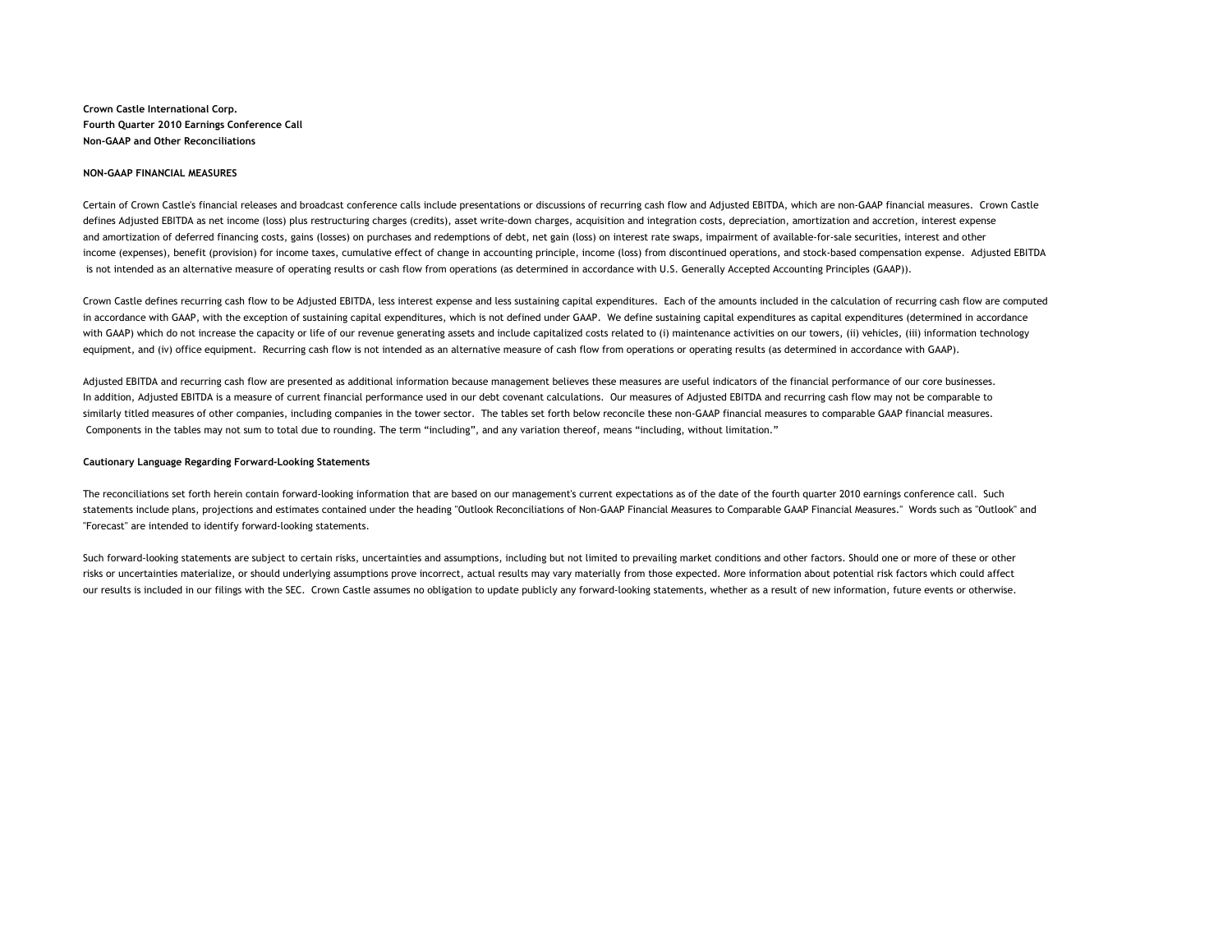**Crown Castle International Corp. Fourth Quarter 2010 Earnings Conference Call Non-GAAP and Other Reconciliations**

#### **NON-GAAP FINANCIAL MEASURES**

Certain of Crown Castle's financial releases and broadcast conference calls include presentations or discussions of recurring cash flow and Adjusted EBITDA, which are non-GAAP financial measures. Crown Castle defines Adjusted EBITDA as net income (loss) plus restructuring charges (credits), asset write-down charges, acquisition and integration costs, depreciation, amortization and accretion, interest expense and amortization of deferred financing costs, gains (losses) on purchases and redemptions of debt, net gain (loss) on interest rate swaps, impairment of available-for-sale securities, interest and other income (expenses), benefit (provision) for income taxes, cumulative effect of change in accounting principle, income (loss) from discontinued operations, and stock-based compensation expense. Adjusted EBITDA is not intended as an alternative measure of operating results or cash flow from operations (as determined in accordance with U.S. Generally Accepted Accounting Principles (GAAP)).

Crown Castle defines recurring cash flow to be Adjusted EBITDA, less interest expense and less sustaining capital expenditures. Each of the amounts included in the calculation of recurring cash flow are computed in accordance with GAAP, with the exception of sustaining capital expenditures, which is not defined under GAAP. We define sustaining capital expenditures as capital expenditures (determined in accordance with GAAP) which do not increase the capacity or life of our revenue generating assets and include capitalized costs related to (i) maintenance activities on our towers, (ii) vehicles, (iii) information technology equipment, and (iv) office equipment. Recurring cash flow is not intended as an alternative measure of cash flow from operations or operating results (as determined in accordance with GAAP).

Adjusted EBITDA and recurring cash flow are presented as additional information because management believes these measures are useful indicators of the financial performance of our core businesses. In addition, Adjusted EBITDA is a measure of current financial performance used in our debt covenant calculations. Our measures of Adjusted EBITDA and recurring cash flow may not be comparable to similarly titled measures of other companies, including companies in the tower sector. The tables set forth below reconcile these non-GAAP financial measures to comparable GAAP financial measures Components in the tables may not sum to total due to rounding. The term "including", and any variation thereof, means "including, without limitation."

#### **Cautionary Language Regarding Forward-Looking Statements**

The reconciliations set forth herein contain forward-looking information that are based on our management's current expectations as of the date of the fourth quarter 2010 earnings conference call. Such statements include plans, projections and estimates contained under the heading "Outlook Reconciliations of Non-GAAP Financial Measures to Comparable GAAP Financial Measures." Words such as "Outlook" and "Forecast" are intended to identify forward-looking statements.

Such forward-looking statements are subject to certain risks, uncertainties and assumptions, including but not limited to prevailing market conditions and other factors. Should one or more of these or other risks or uncertainties materialize, or should underlying assumptions prove incorrect, actual results may vary materially from those expected. More information about potential risk factors which could affect our results is included in our filings with the SEC. Crown Castle assumes no obligation to update publicly any forward-looking statements, whether as a result of new information, future events or otherwise.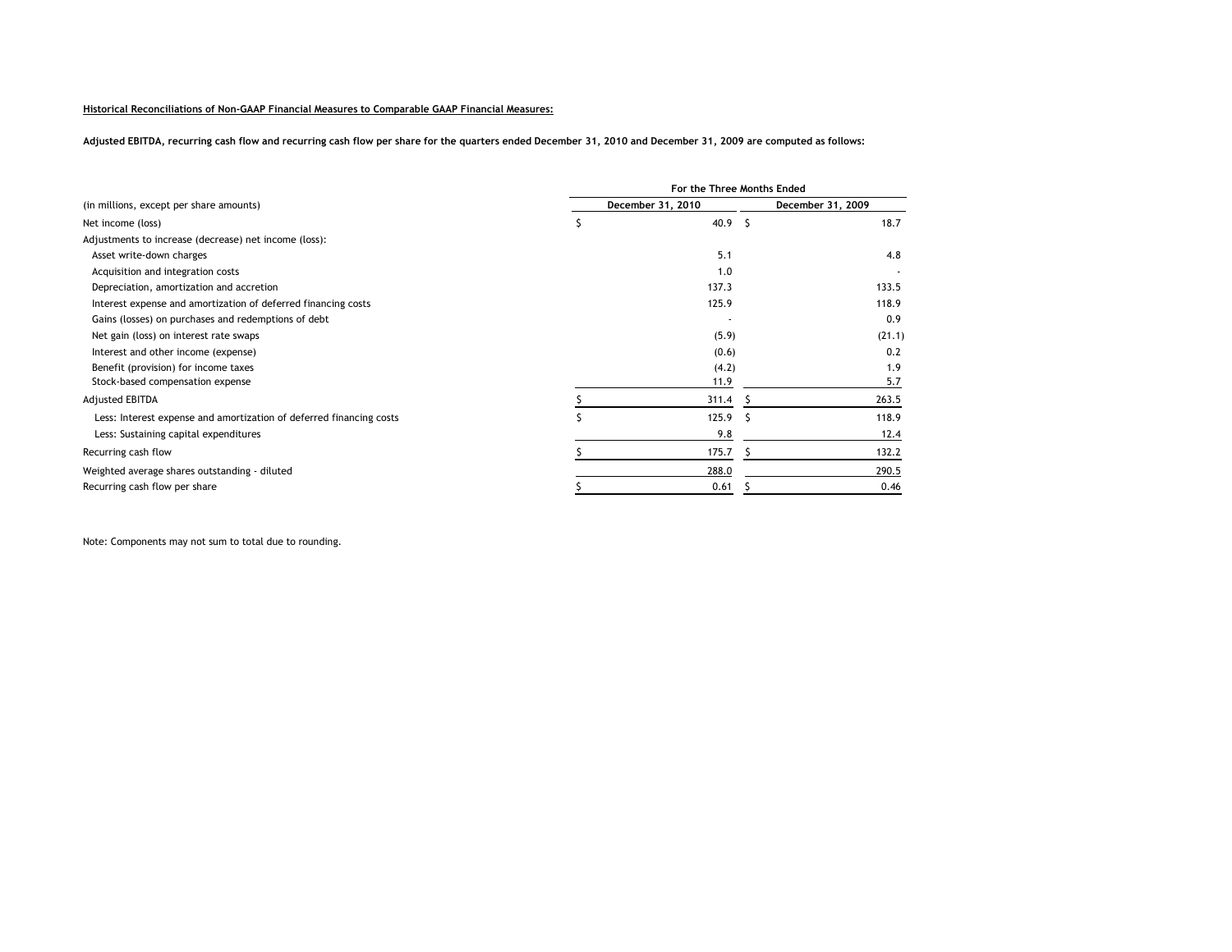### **Historical Reconciliations of Non-GAAP Financial Measures to Comparable GAAP Financial Measures:**

**Adjusted EBITDA, recurring cash flow and recurring cash flow per share for the quarters ended December 31, 2010 and December 31, 2009 are computed as follows:**

|                                                                     | For the Three Months Ended |                   |            |  |
|---------------------------------------------------------------------|----------------------------|-------------------|------------|--|
| (in millions, except per share amounts)                             |                            | December 31, 2010 |            |  |
| Net income (loss)                                                   |                            | 40.9              | Ŝ<br>18.7  |  |
| Adjustments to increase (decrease) net income (loss):               |                            |                   |            |  |
| Asset write-down charges                                            |                            | 5.1               | 4.8        |  |
| Acquisition and integration costs                                   |                            | 1.0               |            |  |
| Depreciation, amortization and accretion                            |                            | 137.3             | 133.5      |  |
| Interest expense and amortization of deferred financing costs       |                            | 125.9             | 118.9      |  |
| Gains (losses) on purchases and redemptions of debt                 |                            |                   | 0.9        |  |
| Net gain (loss) on interest rate swaps                              |                            | (5.9)             | (21.1)     |  |
| Interest and other income (expense)                                 |                            | (0.6)             | 0.2        |  |
| Benefit (provision) for income taxes                                |                            | (4.2)             | 1.9        |  |
| Stock-based compensation expense                                    |                            | 11.9              | 5.7        |  |
| <b>Adjusted EBITDA</b>                                              |                            | 311.4             | 263.5<br>S |  |
| Less: Interest expense and amortization of deferred financing costs |                            | 125.9             | 118.9<br>S |  |
| Less: Sustaining capital expenditures                               |                            | 9.8               | 12.4       |  |
| Recurring cash flow                                                 |                            | 175.7             | 132.2      |  |
| Weighted average shares outstanding - diluted                       |                            | 288.0             | 290.5      |  |
| Recurring cash flow per share                                       |                            | 0.61              | 0.46       |  |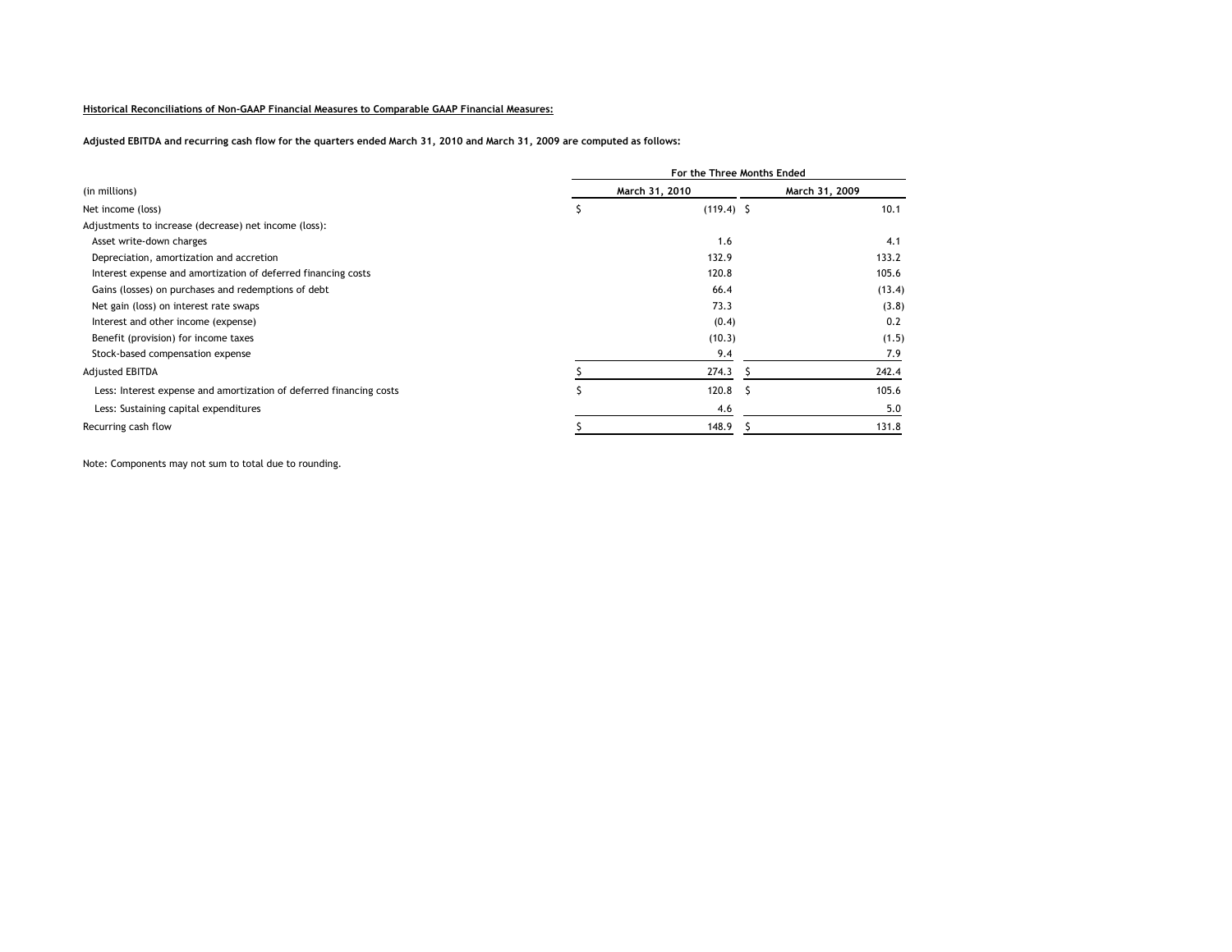### **Historical Reconciliations of Non-GAAP Financial Measures to Comparable GAAP Financial Measures:**

# **Adjusted EBITDA and recurring cash flow for the quarters ended March 31, 2010 and March 31, 2009 are computed as follows:**

|                                                                     | For the Three Months Ended |                |    |                |  |
|---------------------------------------------------------------------|----------------------------|----------------|----|----------------|--|
| (in millions)                                                       |                            | March 31, 2010 |    | March 31, 2009 |  |
| Net income (loss)                                                   |                            | $(119.4)$ \$   |    | 10.1           |  |
| Adjustments to increase (decrease) net income (loss):               |                            |                |    |                |  |
| Asset write-down charges                                            |                            | 1.6            |    | 4.1            |  |
| Depreciation, amortization and accretion                            |                            | 132.9          |    | 133.2          |  |
| Interest expense and amortization of deferred financing costs       |                            | 120.8          |    | 105.6          |  |
| Gains (losses) on purchases and redemptions of debt                 |                            | 66.4           |    | (13.4)         |  |
| Net gain (loss) on interest rate swaps                              |                            | 73.3           |    | (3.8)          |  |
| Interest and other income (expense)                                 |                            | (0.4)          |    | 0.2            |  |
| Benefit (provision) for income taxes                                |                            | (10.3)         |    | (1.5)          |  |
| Stock-based compensation expense                                    |                            | 9.4            |    | 7.9            |  |
| <b>Adjusted EBITDA</b>                                              |                            | 274.3          |    | 242.4          |  |
| Less: Interest expense and amortization of deferred financing costs |                            | 120.8          | -S | 105.6          |  |
| Less: Sustaining capital expenditures                               |                            | 4.6            |    | 5.0            |  |
| Recurring cash flow                                                 |                            | 148.9          |    | 131.8          |  |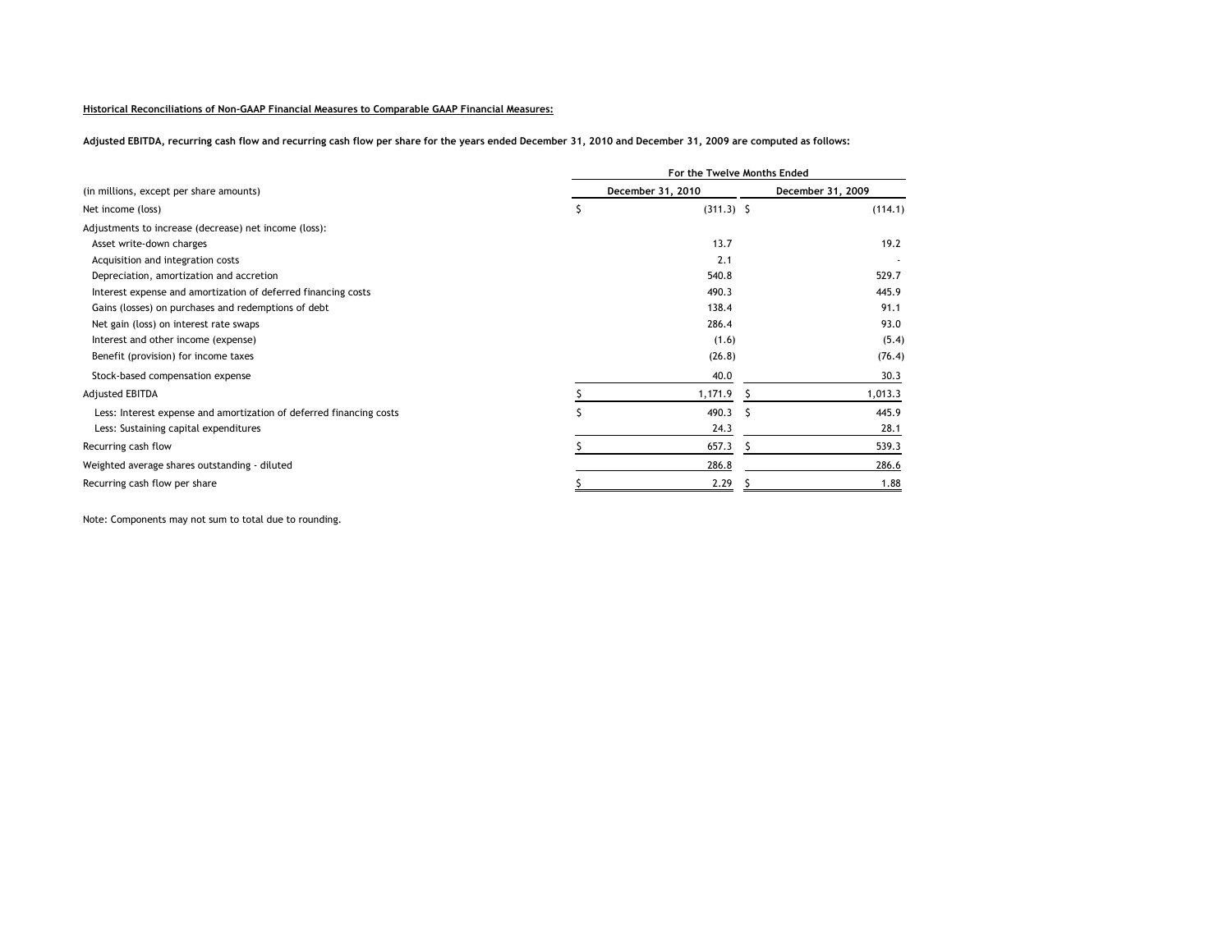### **Historical Reconciliations of Non-GAAP Financial Measures to Comparable GAAP Financial Measures:**

## **Adjusted EBITDA, recurring cash flow and recurring cash flow per share for the years ended December 31, 2010 and December 31, 2009 are computed as follows:**

|                                                                     | For the Twelve Months Ended |              |                   |         |
|---------------------------------------------------------------------|-----------------------------|--------------|-------------------|---------|
| (in millions, except per share amounts)                             | December 31, 2010           |              | December 31, 2009 |         |
| Net income (loss)                                                   | Ŝ                           | $(311.3)$ \$ |                   | (114.1) |
| Adjustments to increase (decrease) net income (loss):               |                             |              |                   |         |
| Asset write-down charges                                            |                             | 13.7         |                   | 19.2    |
| Acquisition and integration costs                                   |                             | 2.1          |                   |         |
| Depreciation, amortization and accretion                            |                             | 540.8        |                   | 529.7   |
| Interest expense and amortization of deferred financing costs       |                             | 490.3        |                   | 445.9   |
| Gains (losses) on purchases and redemptions of debt                 |                             | 138.4        |                   | 91.1    |
| Net gain (loss) on interest rate swaps                              |                             | 286.4        |                   | 93.0    |
| Interest and other income (expense)                                 |                             | (1.6)        |                   | (5.4)   |
| Benefit (provision) for income taxes                                |                             | (26.8)       |                   | (76.4)  |
| Stock-based compensation expense                                    |                             | 40.0         |                   | 30.3    |
| Adjusted EBITDA                                                     |                             | 1,171.9      |                   | 1,013.3 |
| Less: Interest expense and amortization of deferred financing costs |                             | 490.3        | -S                | 445.9   |
| Less: Sustaining capital expenditures                               |                             | 24.3         |                   | 28.1    |
| Recurring cash flow                                                 |                             | 657.3        |                   | 539.3   |
| Weighted average shares outstanding - diluted                       |                             | 286.8        |                   | 286.6   |
| Recurring cash flow per share                                       |                             | 2.29         |                   | 1.88    |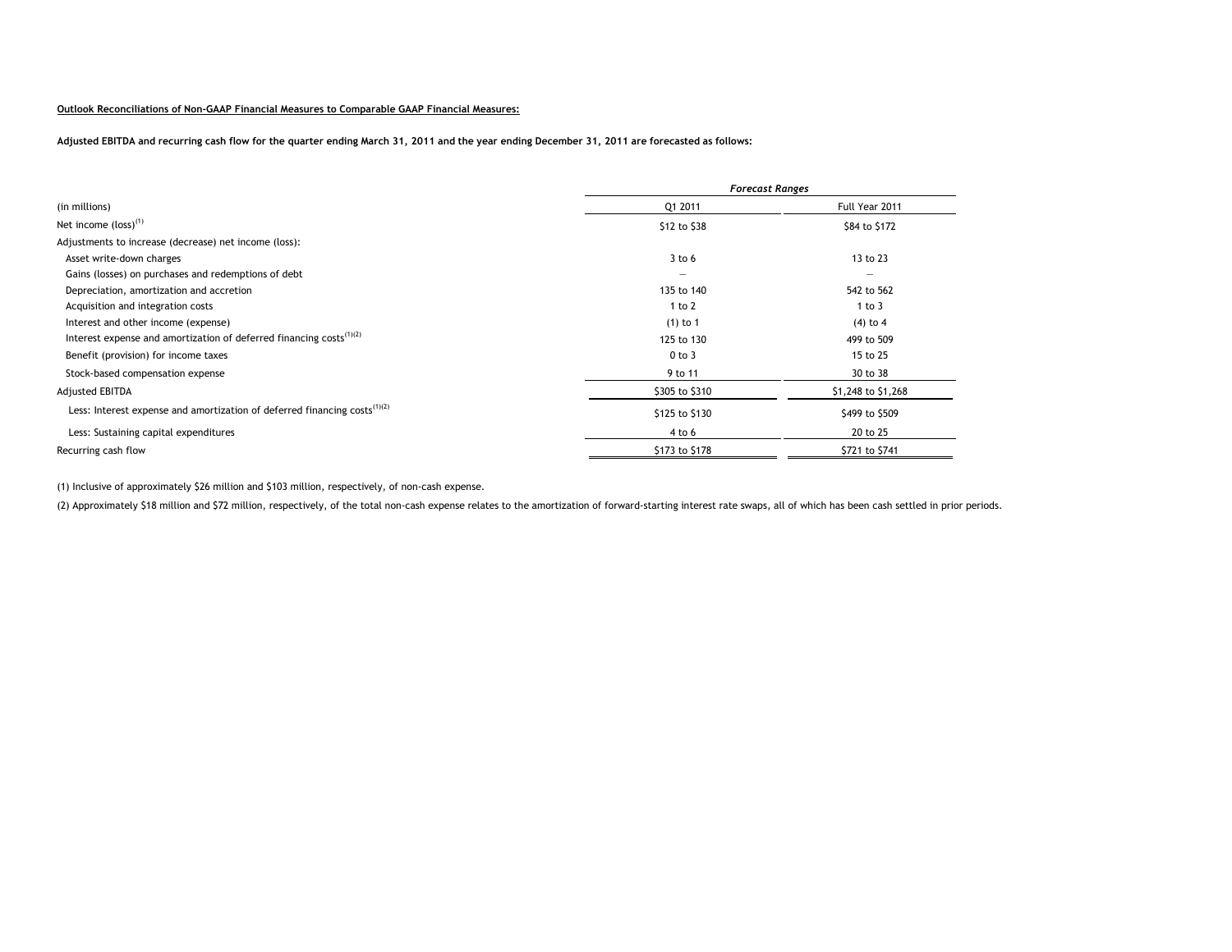### **Outlook Reconciliations of Non-GAAP Financial Measures to Comparable GAAP Financial Measures:**

**Adjusted EBITDA and recurring cash flow for the quarter ending March 31, 2011 and the year ending December 31, 2011 are forecasted as follows:**

|                                                                              | <b>Forecast Ranges</b> |                    |  |
|------------------------------------------------------------------------------|------------------------|--------------------|--|
| (in millions)                                                                | Q1 2011                | Full Year 2011     |  |
| Net income $(\text{loss})^{(1)}$                                             | \$12 to \$38           | \$84 to \$172      |  |
| Adjustments to increase (decrease) net income (loss):                        |                        |                    |  |
| Asset write-down charges                                                     | $3$ to $6$             | 13 to 23           |  |
| Gains (losses) on purchases and redemptions of debt                          |                        |                    |  |
| Depreciation, amortization and accretion                                     | 135 to 140             | 542 to 562         |  |
| Acquisition and integration costs                                            | $1$ to $2$             | $1$ to $3$         |  |
| Interest and other income (expense)                                          | $(1)$ to 1             | $(4)$ to 4         |  |
| Interest expense and amortization of deferred financing costs $^{(1)(2)}$    | 125 to 130             | 499 to 509         |  |
| Benefit (provision) for income taxes                                         | $0$ to $3$             | 15 to 25           |  |
| Stock-based compensation expense                                             | 9 to 11                | 30 to 38           |  |
| Adjusted EBITDA                                                              | \$305 to \$310         | \$1,248 to \$1,268 |  |
| Less: Interest expense and amortization of deferred financing costs $(1)(2)$ | \$125 to \$130         | \$499 to \$509     |  |
| Less: Sustaining capital expenditures                                        | 4 to 6                 | 20 to 25           |  |
| Recurring cash flow                                                          | \$173 to \$178         | \$721 to \$741     |  |

(1) Inclusive of approximately \$26 million and \$103 million, respectively, of non-cash expense.

(2) Approximately \$18 million and \$72 million, respectively, of the total non-cash expense relates to the amortization of forward-starting interest rate swaps, all of which has been cash settled in prior periods.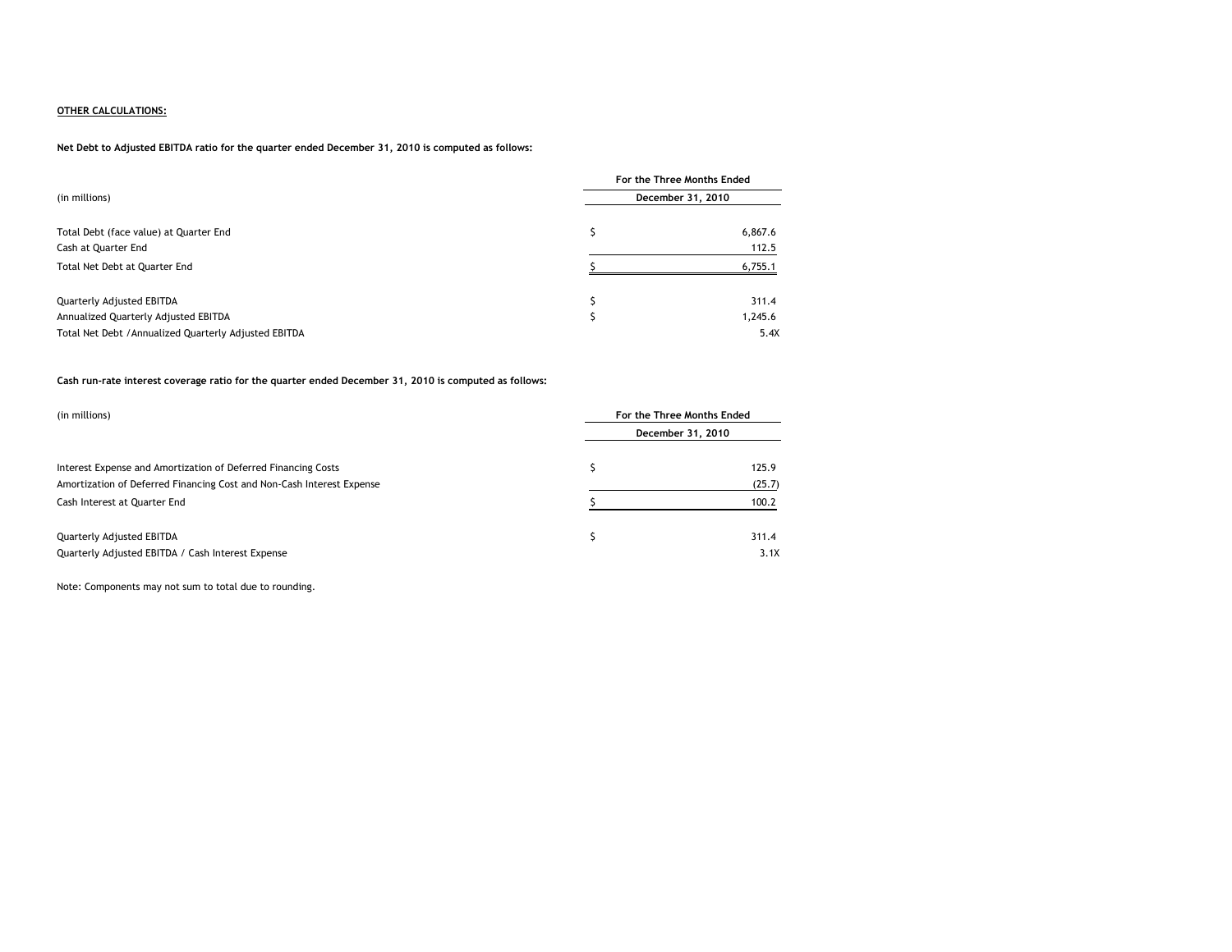# **OTHER CALCULATIONS:**

### **Net Debt to Adjusted EBITDA ratio for the quarter ended December 31, 2010 is computed as follows:**

|                                                       | For the Three Months Ended |  |  |
|-------------------------------------------------------|----------------------------|--|--|
| (in millions)                                         | December 31, 2010          |  |  |
| Total Debt (face value) at Quarter End                | 6,867.6                    |  |  |
| Cash at Quarter End                                   | 112.5                      |  |  |
| Total Net Debt at Quarter End                         | 6,755.1                    |  |  |
| Quarterly Adjusted EBITDA                             | 311.4                      |  |  |
| Annualized Quarterly Adjusted EBITDA                  | 1,245.6                    |  |  |
| Total Net Debt / Annualized Quarterly Adjusted EBITDA | 5.4X                       |  |  |

## **Cash run-rate interest coverage ratio for the quarter ended December 31, 2010 is computed as follows:**

| (in millions)                                                         | For the Three Months Ended |        |  |
|-----------------------------------------------------------------------|----------------------------|--------|--|
|                                                                       | December 31, 2010          |        |  |
| Interest Expense and Amortization of Deferred Financing Costs         |                            | 125.9  |  |
| Amortization of Deferred Financing Cost and Non-Cash Interest Expense |                            | (25.7) |  |
| Cash Interest at Quarter End                                          |                            | 100.2  |  |
| Quarterly Adjusted EBITDA                                             |                            | 311.4  |  |
| Quarterly Adjusted EBITDA / Cash Interest Expense                     |                            | 3.1X   |  |